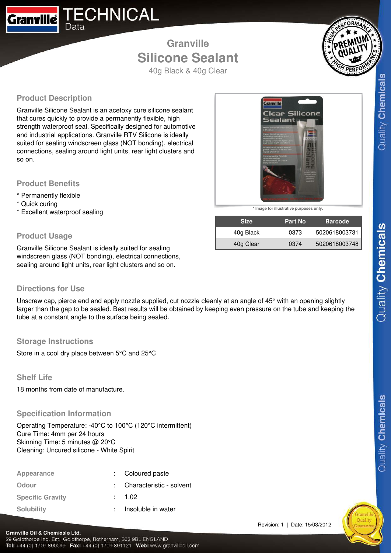

## **Granville Silicone Sealant** 40g Black & 40g Clear



**Product Description**

Granville Silicone Sealant is an acetoxy cure silicone sealant that cures quickly to provide a permanently flexible, high strength waterproof seal. Specifically designed for automotive and industrial applications. Granville RTV Silicone is ideally suited for sealing windscreen glass (NOT bonding), electrical connections, sealing around light units, rear light clusters and so on.

#### **Product Benefits**

- \* Permanently flexible
- \* Quick curing
- \* Excellent waterproof sealing

## **Product Usage**

Granville Silicone Sealant is ideally suited for sealing windscreen glass (NOT bonding), electrical connections, sealing around light units, rear light clusters and so on.

### **Directions for Use**

Unscrew cap, pierce end and apply nozzle supplied, cut nozzle cleanly at an angle of 45° with an opening slightly larger than the gap to be sealed. Best results will be obtained by keeping even pressure on the tube and keeping the tube at a constant angle to the surface being sealed.

## **Storage Instructions**

Store in a cool dry place between 5°C and 25°C

## **Shelf Life**

Granville Oil & Chemicals Ltd.

18 months from date of manufacture.

### **Specification Information**

Operating Temperature: -40°C to 100°C (120°C intermittent) Cure Time: 4mm per 24 hours Skinning Time: 5 minutes @ 20°C Cleaning: Uncured silicone - White Spirit

| Appearance              | : Coloured paste           |
|-------------------------|----------------------------|
| Odour                   | : Characteristic - solvent |
| <b>Specific Gravity</b> | : 1.02                     |
| <b>Solubility</b>       | Insoluble in water         |

Tel: +44 (0) 1709 890099 Fax: +44 (0) 1709 891121 Web: www.granvilleoil.com

29 Goldthorpe Ind. Est., Goldthorpe, Rotherham, S63 9BL ENGLAND



**\* Image for illustrative purposes only.**

| <b>Size</b> | <b>Part No.</b> | <b>Barcode</b> |
|-------------|-----------------|----------------|
| 40g Black   | 0373            | 5020618003731  |
| 40g Clear   | 0374            | 5020618003748  |